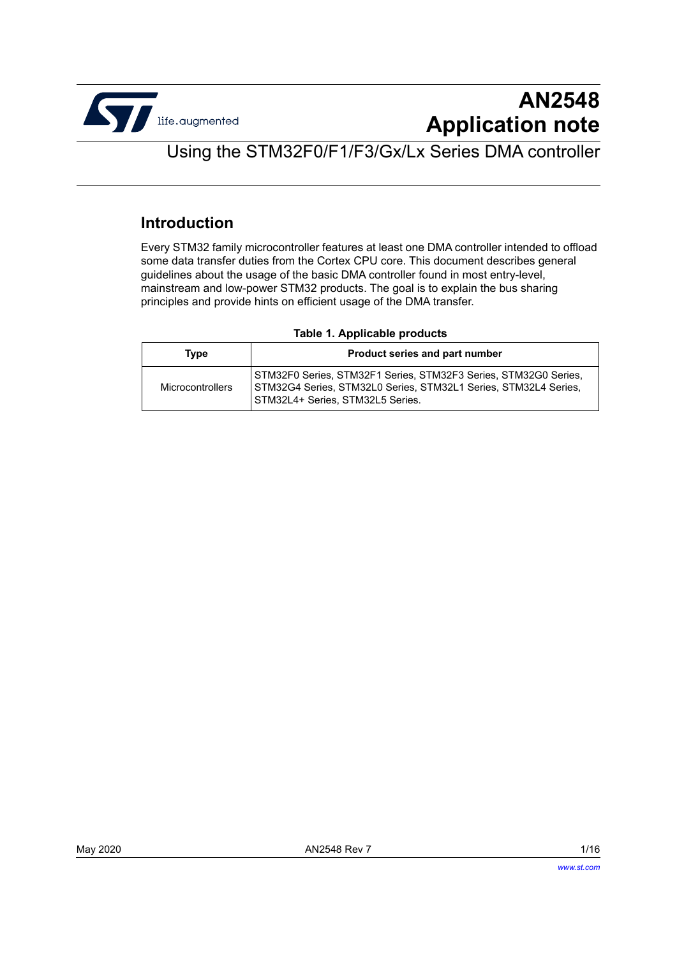

# **AN2548 Application note**

## Using the STM32F0/F1/F3/Gx/Lx Series DMA controller

#### **Introduction**

Every STM32 family microcontroller features at least one DMA controller intended to offload some data transfer duties from the Cortex CPU core. This document describes general guidelines about the usage of the basic DMA controller found in most entry-level, mainstream and low-power STM32 products. The goal is to explain the bus sharing principles and provide hints on efficient usage of the DMA transfer.

#### <span id="page-0-1"></span>**Table 1. Applicable products**

<span id="page-0-0"></span>

| Type             | Product series and part number                                                                                                                                         |  |  |  |  |  |
|------------------|------------------------------------------------------------------------------------------------------------------------------------------------------------------------|--|--|--|--|--|
| Microcontrollers | STM32F0 Series, STM32F1 Series, STM32F3 Series, STM32G0 Series,<br>STM32G4 Series, STM32L0 Series, STM32L1 Series, STM32L4 Series,<br>STM32L4+ Series, STM32L5 Series. |  |  |  |  |  |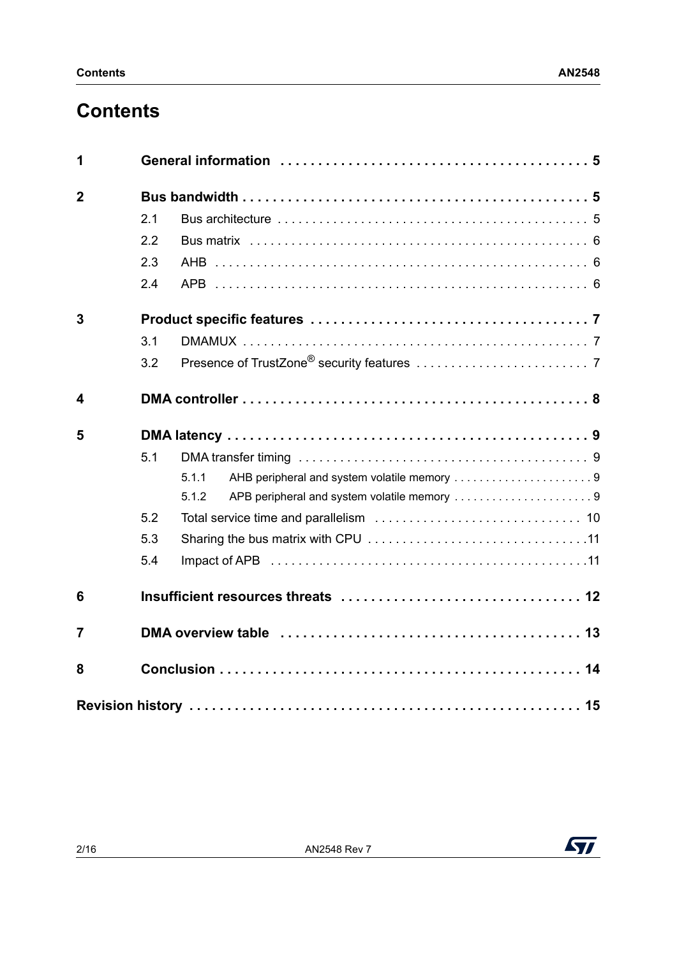# **Contents**

| 1              |     |                                                                                            |  |  |  |  |  |  |
|----------------|-----|--------------------------------------------------------------------------------------------|--|--|--|--|--|--|
| $\overline{2}$ |     |                                                                                            |  |  |  |  |  |  |
|                | 2.1 |                                                                                            |  |  |  |  |  |  |
|                | 2.2 |                                                                                            |  |  |  |  |  |  |
|                | 2.3 |                                                                                            |  |  |  |  |  |  |
|                | 2.4 |                                                                                            |  |  |  |  |  |  |
| 3              |     |                                                                                            |  |  |  |  |  |  |
|                | 3.1 |                                                                                            |  |  |  |  |  |  |
|                | 3.2 |                                                                                            |  |  |  |  |  |  |
| 4              |     |                                                                                            |  |  |  |  |  |  |
| 5              |     |                                                                                            |  |  |  |  |  |  |
|                | 5.1 |                                                                                            |  |  |  |  |  |  |
|                |     | AHB peripheral and system volatile memory 9<br>5.1.1                                       |  |  |  |  |  |  |
|                |     | 5.1.2<br>APB peripheral and system volatile memory 9                                       |  |  |  |  |  |  |
|                | 5.2 |                                                                                            |  |  |  |  |  |  |
|                | 5.3 |                                                                                            |  |  |  |  |  |  |
|                | 5.4 |                                                                                            |  |  |  |  |  |  |
| 6              |     |                                                                                            |  |  |  |  |  |  |
| $\overline{7}$ |     | DMA overview table enterpreteration of the contract of the contract of the DMA overview 13 |  |  |  |  |  |  |
| 8              |     |                                                                                            |  |  |  |  |  |  |
|                |     |                                                                                            |  |  |  |  |  |  |

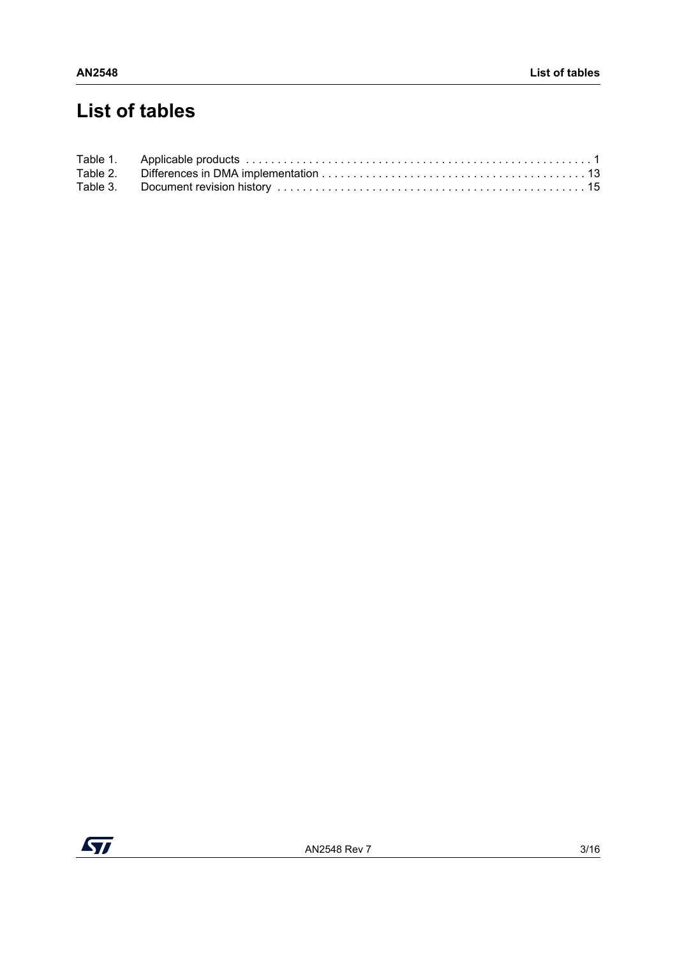# **List of tables**

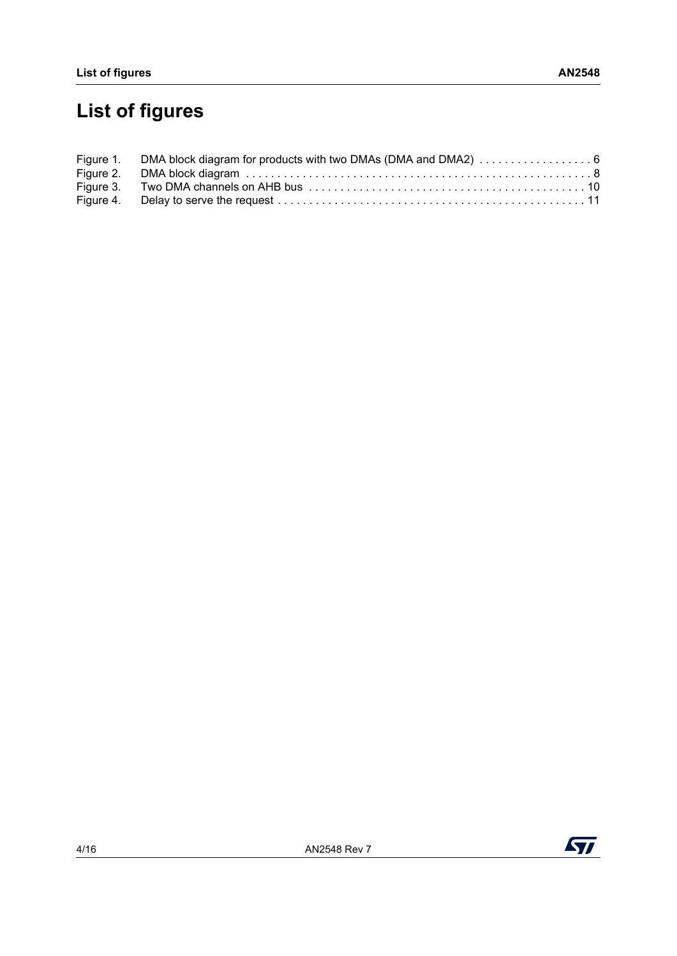# **List of figures**

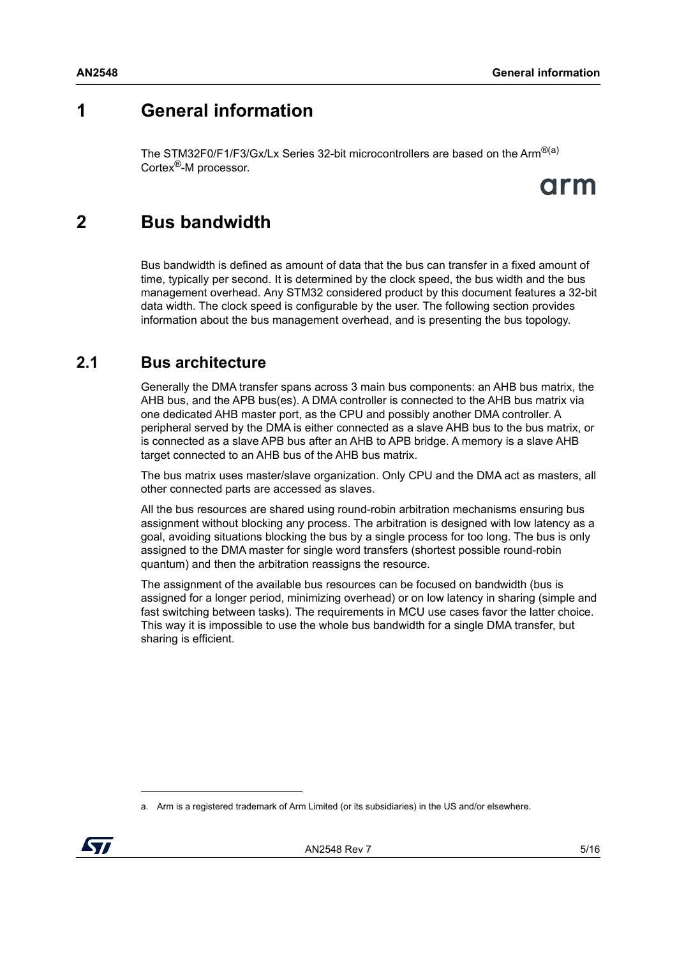### <span id="page-4-0"></span>**1 General information**

The STM32F0/F1/F3/Gx/Lx Series 32-bit microcontrollers are based on the Arm<sup>®(a)</sup> Cortex®-M processor.

# arm

### <span id="page-4-1"></span>**2 Bus bandwidth**

Bus bandwidth is defined as amount of data that the bus can transfer in a fixed amount of time, typically per second. It is determined by the clock speed, the bus width and the bus management overhead. Any STM32 considered product by this document features a 32-bit data width. The clock speed is configurable by the user. The following section provides information about the bus management overhead, and is presenting the bus topology.

#### <span id="page-4-2"></span>**2.1 Bus architecture**

Generally the DMA transfer spans across 3 main bus components: an AHB bus matrix, the AHB bus, and the APB bus(es). A DMA controller is connected to the AHB bus matrix via one dedicated AHB master port, as the CPU and possibly another DMA controller. A peripheral served by the DMA is either connected as a slave AHB bus to the bus matrix, or is connected as a slave APB bus after an AHB to APB bridge. A memory is a slave AHB target connected to an AHB bus of the AHB bus matrix.

The bus matrix uses master/slave organization. Only CPU and the DMA act as masters, all other connected parts are accessed as slaves.

All the bus resources are shared using round-robin arbitration mechanisms ensuring bus assignment without blocking any process. The arbitration is designed with low latency as a goal, avoiding situations blocking the bus by a single process for too long. The bus is only assigned to the DMA master for single word transfers (shortest possible round-robin quantum) and then the arbitration reassigns the resource.

The assignment of the available bus resources can be focused on bandwidth (bus is assigned for a longer period, minimizing overhead) or on low latency in sharing (simple and fast switching between tasks). The requirements in MCU use cases favor the latter choice. This way it is impossible to use the whole bus bandwidth for a single DMA transfer, but sharing is efficient.

a. Arm is a registered trademark of Arm Limited (or its subsidiaries) in the US and/or elsewhere.

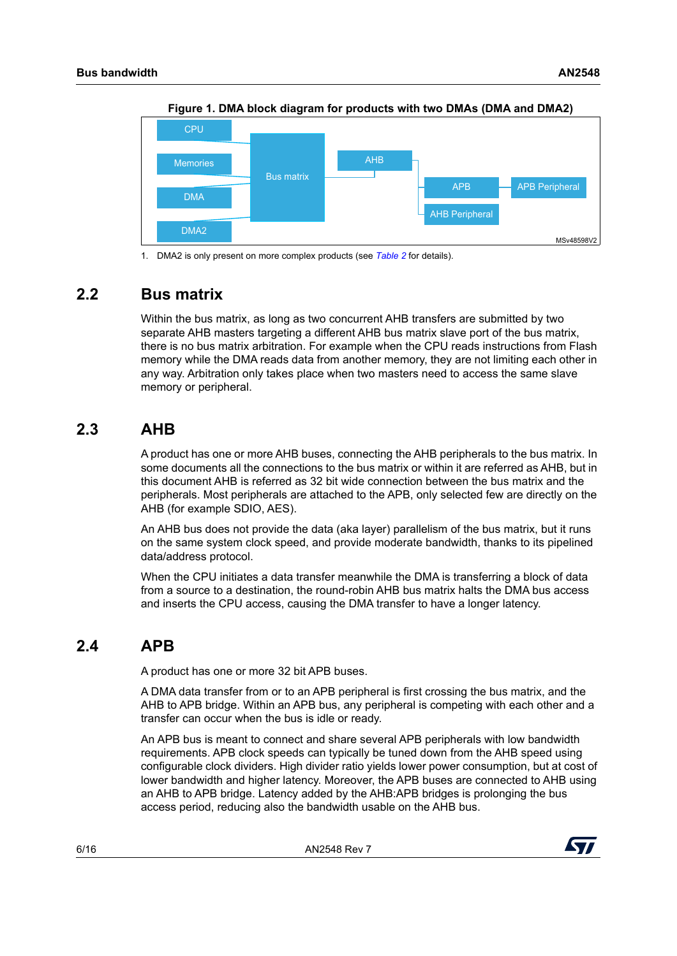<span id="page-5-3"></span>

**Figure 1. DMA block diagram for products with two DMAs (DMA and DMA2)**

1. DMA2 is only present on more complex products (see *[Table 2](#page-12-1)* for details).

#### <span id="page-5-0"></span>**2.2 Bus matrix**

Within the bus matrix, as long as two concurrent AHB transfers are submitted by two separate AHB masters targeting a different AHB bus matrix slave port of the bus matrix, there is no bus matrix arbitration. For example when the CPU reads instructions from Flash memory while the DMA reads data from another memory, they are not limiting each other in any way. Arbitration only takes place when two masters need to access the same slave memory or peripheral.

#### <span id="page-5-1"></span>**2.3 AHB**

A product has one or more AHB buses, connecting the AHB peripherals to the bus matrix. In some documents all the connections to the bus matrix or within it are referred as AHB, but in this document AHB is referred as 32 bit wide connection between the bus matrix and the peripherals. Most peripherals are attached to the APB, only selected few are directly on the AHB (for example SDIO, AES).

An AHB bus does not provide the data (aka layer) parallelism of the bus matrix, but it runs on the same system clock speed, and provide moderate bandwidth, thanks to its pipelined data/address protocol.

When the CPU initiates a data transfer meanwhile the DMA is transferring a block of data from a source to a destination, the round-robin AHB bus matrix halts the DMA bus access and inserts the CPU access, causing the DMA transfer to have a longer latency.

#### <span id="page-5-2"></span>**2.4 APB**

A product has one or more 32 bit APB buses.

A DMA data transfer from or to an APB peripheral is first crossing the bus matrix, and the AHB to APB bridge. Within an APB bus, any peripheral is competing with each other and a transfer can occur when the bus is idle or ready.

An APB bus is meant to connect and share several APB peripherals with low bandwidth requirements. APB clock speeds can typically be tuned down from the AHB speed using configurable clock dividers. High divider ratio yields lower power consumption, but at cost of lower bandwidth and higher latency. Moreover, the APB buses are connected to AHB using an AHB to APB bridge. Latency added by the AHB:APB bridges is prolonging the bus access period, reducing also the bandwidth usable on the AHB bus.

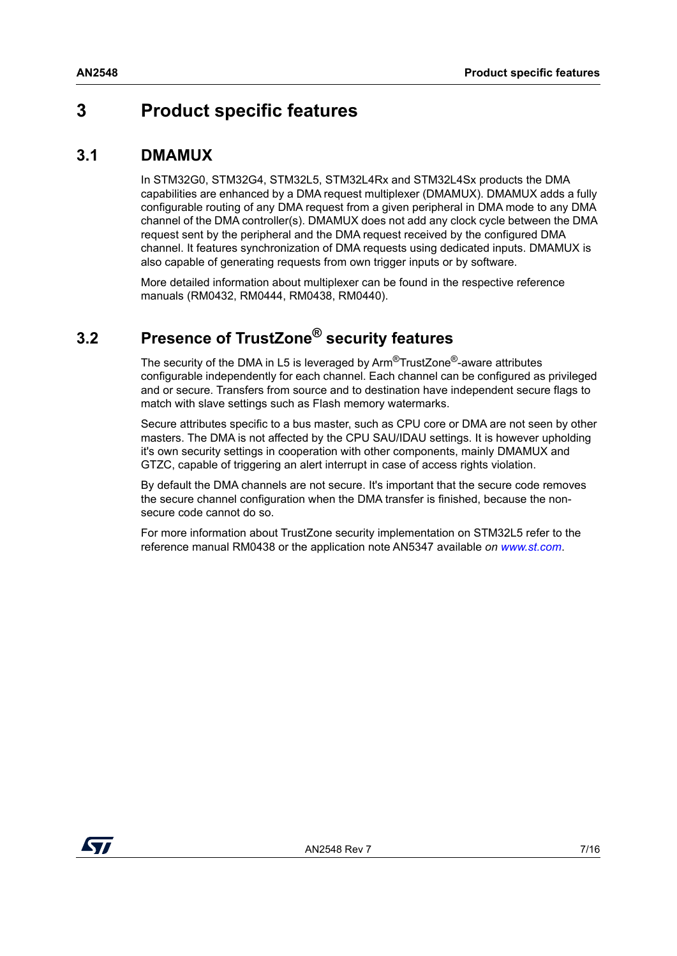### <span id="page-6-0"></span>**3 Product specific features**

#### <span id="page-6-1"></span>**3.1 DMAMUX**

In STM32G0, STM32G4, STM32L5, STM32L4Rx and STM32L4Sx products the DMA capabilities are enhanced by a DMA request multiplexer (DMAMUX). DMAMUX adds a fully configurable routing of any DMA request from a given peripheral in DMA mode to any DMA channel of the DMA controller(s). DMAMUX does not add any clock cycle between the DMA request sent by the peripheral and the DMA request received by the configured DMA channel. It features synchronization of DMA requests using dedicated inputs. DMAMUX is also capable of generating requests from own trigger inputs or by software.

More detailed information about multiplexer can be found in the respective reference manuals (RM0432, RM0444, RM0438, RM0440).

### <span id="page-6-2"></span>**3.2 Presence of TrustZone® security features**

The security of the DMA in L5 is leveraged by Arm<sup>®</sup>TrustZone<sup>®</sup>-aware attributes configurable independently for each channel. Each channel can be configured as privileged and or secure. Transfers from source and to destination have independent secure flags to match with slave settings such as Flash memory watermarks.

Secure attributes specific to a bus master, such as CPU core or DMA are not seen by other masters. The DMA is not affected by the CPU SAU/IDAU settings. It is however upholding it's own security settings in cooperation with other components, mainly DMAMUX and GTZC, capable of triggering an alert interrupt in case of access rights violation.

By default the DMA channels are not secure. It's important that the secure code removes the secure channel configuration when the DMA transfer is finished, because the nonsecure code cannot do so.

For more information about TrustZone security implementation on STM32L5 refer to the reference manual RM0438 or the application note AN5347 available *on [www.st.com](https://www.st.com/content/st_com/en.html)*.

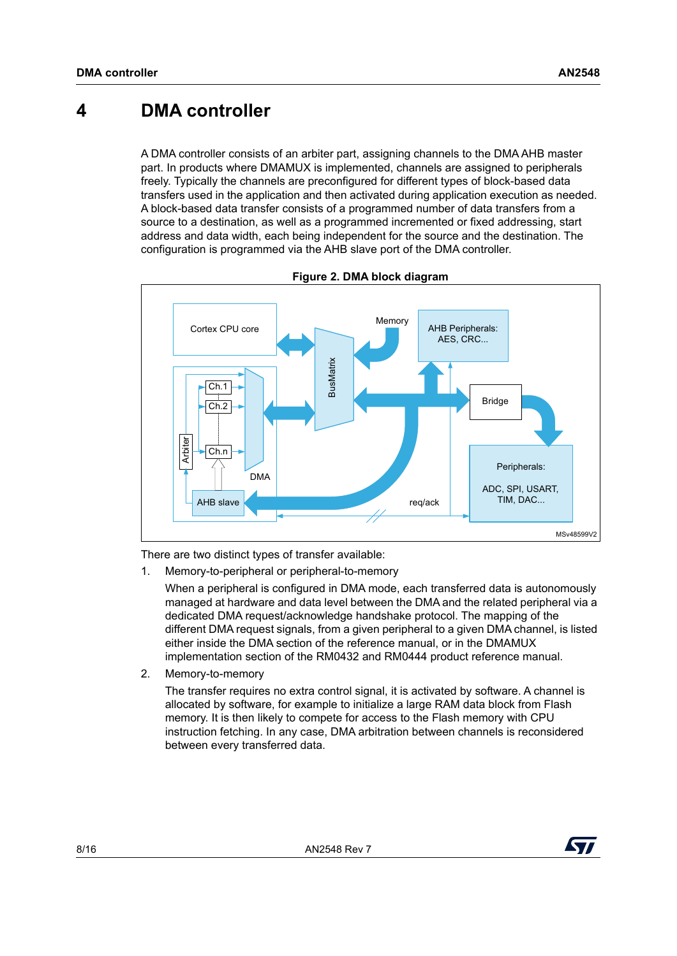#### <span id="page-7-0"></span>**4 DMA controller**

A DMA controller consists of an arbiter part, assigning channels to the DMA AHB master part. In products where DMAMUX is implemented, channels are assigned to peripherals freely. Typically the channels are preconfigured for different types of block-based data transfers used in the application and then activated during application execution as needed. A block-based data transfer consists of a programmed number of data transfers from a source to a destination, as well as a programmed incremented or fixed addressing, start address and data width, each being independent for the source and the destination. The configuration is programmed via the AHB slave port of the DMA controller.

<span id="page-7-1"></span>

**Figure 2. DMA block diagram**

There are two distinct types of transfer available:

1. Memory-to-peripheral or peripheral-to-memory

When a peripheral is configured in DMA mode, each transferred data is autonomously managed at hardware and data level between the DMA and the related peripheral via a dedicated DMA request/acknowledge handshake protocol. The mapping of the different DMA request signals, from a given peripheral to a given DMA channel, is listed either inside the DMA section of the reference manual, or in the DMAMUX implementation section of the RM0432 and RM0444 product reference manual.

2. Memory-to-memory

The transfer requires no extra control signal, it is activated by software. A channel is allocated by software, for example to initialize a large RAM data block from Flash memory. It is then likely to compete for access to the Flash memory with CPU instruction fetching. In any case, DMA arbitration between channels is reconsidered between every transferred data.

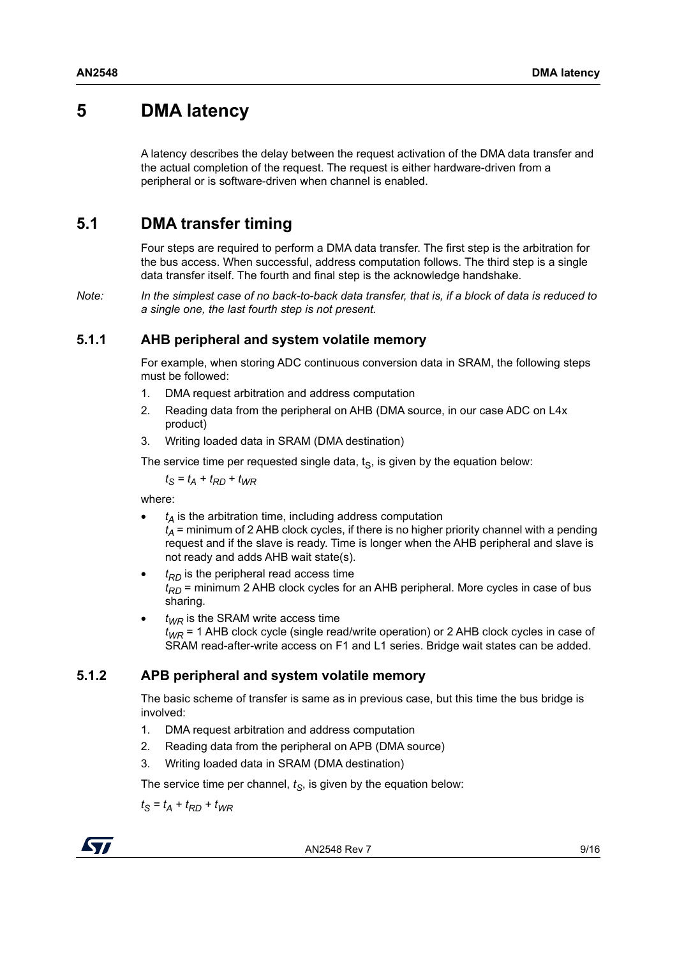### <span id="page-8-0"></span>**5 DMA latency**

A latency describes the delay between the request activation of the DMA data transfer and the actual completion of the request. The request is either hardware-driven from a peripheral or is software-driven when channel is enabled.

#### <span id="page-8-1"></span>**5.1 DMA transfer timing**

Four steps are required to perform a DMA data transfer. The first step is the arbitration for the bus access. When successful, address computation follows. The third step is a single data transfer itself. The fourth and final step is the acknowledge handshake.

*Note: In the simplest case of no back-to-back data transfer, that is, if a block of data is reduced to a single one, the last fourth step is not present.*

#### <span id="page-8-2"></span>**5.1.1 AHB peripheral and system volatile memory**

For example, when storing ADC continuous conversion data in SRAM, the following steps must be followed:

- 1. DMA request arbitration and address computation
- 2. Reading data from the peripheral on AHB (DMA source, in our case ADC on L4x product)
- 3. Writing loaded data in SRAM (DMA destination)

The service time per requested single data,  $t<sub>S</sub>$ , is given by the equation below:

$$
t_{\rm S} = t_{\rm A} + t_{\rm RD} + t_{\rm WR}
$$

where:

- $t_A$  is the arbitration time, including address computation  $t_A$  = minimum of 2 AHB clock cycles, if there is no higher priority channel with a pending request and if the slave is ready. Time is longer when the AHB peripheral and slave is not ready and adds AHB wait state(s).
- $t_{RD}$  is the peripheral read access time  $t_{RD}$  = minimum 2 AHB clock cycles for an AHB peripheral. More cycles in case of bus sharing.
- $t_{W/R}$  is the SRAM write access time *tWR* = 1 AHB clock cycle (single read/write operation) or 2 AHB clock cycles in case of SRAM read-after-write access on F1 and L1 series. Bridge wait states can be added.

#### <span id="page-8-3"></span>**5.1.2 APB peripheral and system volatile memory**

The basic scheme of transfer is same as in previous case, but this time the bus bridge is involved:

- 1. DMA request arbitration and address computation
- 2. Reading data from the peripheral on APB (DMA source)
- 3. Writing loaded data in SRAM (DMA destination)

The service time per channel,  $t<sub>S</sub>$ , is given by the equation below:

 $t_{S} = t_{A} + t_{RD} + t_{WR}$ 

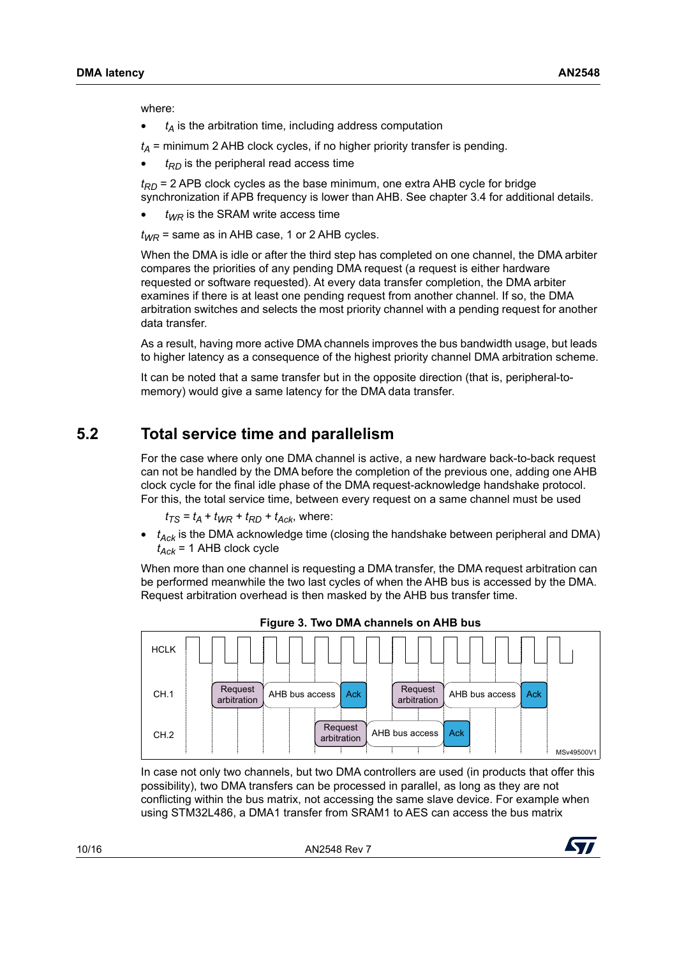where:

 $t_A$  is the arbitration time, including address computation

 $t_A$  = minimum 2 AHB clock cycles, if no higher priority transfer is pending.

 $t_{RD}$  is the peripheral read access time

 $t_{RD}$  = 2 APB clock cycles as the base minimum, one extra AHB cycle for bridge synchronization if APB frequency is lower than AHB. See chapter 3.4 for additional details.

 $t_{WR}$  is the SRAM write access time

 $t_{WR}$  = same as in AHB case, 1 or 2 AHB cycles.

When the DMA is idle or after the third step has completed on one channel, the DMA arbiter compares the priorities of any pending DMA request (a request is either hardware requested or software requested). At every data transfer completion, the DMA arbiter examines if there is at least one pending request from another channel. If so, the DMA arbitration switches and selects the most priority channel with a pending request for another data transfer.

As a result, having more active DMA channels improves the bus bandwidth usage, but leads to higher latency as a consequence of the highest priority channel DMA arbitration scheme.

It can be noted that a same transfer but in the opposite direction (that is, peripheral-tomemory) would give a same latency for the DMA data transfer.

#### <span id="page-9-0"></span>**5.2 Total service time and parallelism**

For the case where only one DMA channel is active, a new hardware back-to-back request can not be handled by the DMA before the completion of the previous one, adding one AHB clock cycle for the final idle phase of the DMA request-acknowledge handshake protocol. For this, the total service time, between every request on a same channel must be used

 $t_{TS} = t_A + t_{WR} + t_{RD} + t_{Ack}$ , where:

 $\bullet$   $t_{Ack}$  is the DMA acknowledge time (closing the handshake between peripheral and DMA)  $t_{Ack}$  = 1 AHB clock cycle

When more than one channel is requesting a DMA transfer, the DMA request arbitration can be performed meanwhile the two last cycles of when the AHB bus is accessed by the DMA. Request arbitration overhead is then masked by the AHB bus transfer time.

<span id="page-9-1"></span>

**Figure 3. Two DMA channels on AHB bus**

In case not only two channels, but two DMA controllers are used (in products that offer this possibility), two DMA transfers can be processed in parallel, as long as they are not conflicting within the bus matrix, not accessing the same slave device. For example when using STM32L486, a DMA1 transfer from SRAM1 to AES can access the bus matrix

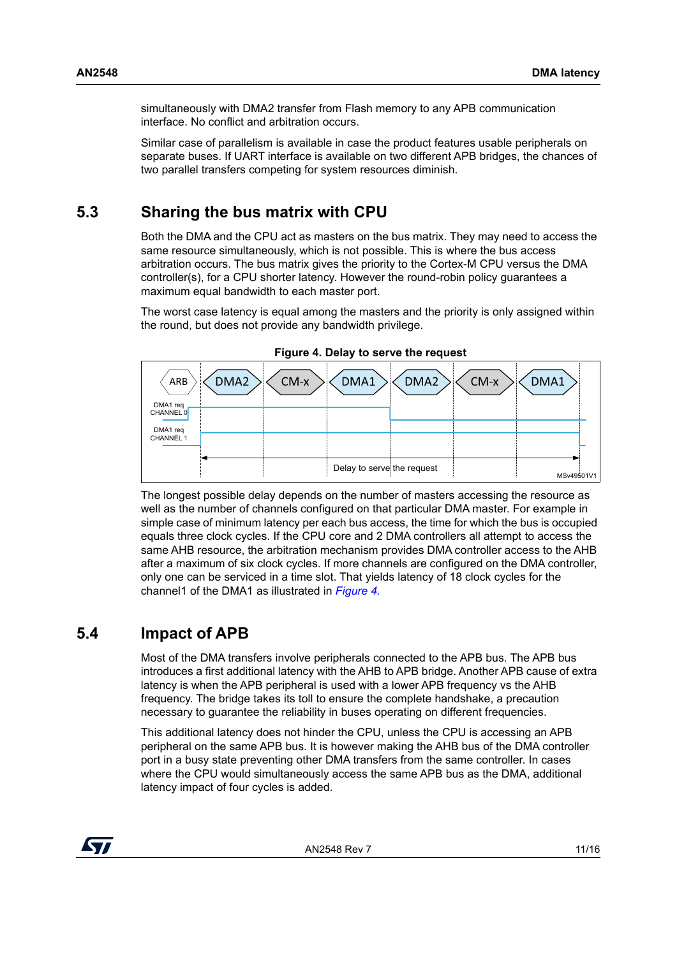simultaneously with DMA2 transfer from Flash memory to any APB communication interface. No conflict and arbitration occurs.

Similar case of parallelism is available in case the product features usable peripherals on separate buses. If UART interface is available on two different APB bridges, the chances of two parallel transfers competing for system resources diminish.

#### <span id="page-10-0"></span>**5.3 Sharing the bus matrix with CPU**

Both the DMA and the CPU act as masters on the bus matrix. They may need to access the same resource simultaneously, which is not possible. This is where the bus access arbitration occurs. The bus matrix gives the priority to the Cortex-M CPU versus the DMA controller(s), for a CPU shorter latency. However the round-robin policy guarantees a maximum equal bandwidth to each master port.

The worst case latency is equal among the masters and the priority is only assigned within the round, but does not provide any bandwidth privilege.

<span id="page-10-2"></span>

**Figure 4. Delay to serve the request**

The longest possible delay depends on the number of masters accessing the resource as well as the number of channels configured on that particular DMA master. For example in simple case of minimum latency per each bus access, the time for which the bus is occupied equals three clock cycles. If the CPU core and 2 DMA controllers all attempt to access the same AHB resource, the arbitration mechanism provides DMA controller access to the AHB after a maximum of six clock cycles. If more channels are configured on the DMA controller, only one can be serviced in a time slot. That yields latency of 18 clock cycles for the channel1 of the DMA1 as illustrated in *[Figure](#page-10-2) 4.*

#### <span id="page-10-1"></span>**5.4 Impact of APB**

Most of the DMA transfers involve peripherals connected to the APB bus. The APB bus introduces a first additional latency with the AHB to APB bridge. Another APB cause of extra latency is when the APB peripheral is used with a lower APB frequency vs the AHB frequency. The bridge takes its toll to ensure the complete handshake, a precaution necessary to guarantee the reliability in buses operating on different frequencies.

This additional latency does not hinder the CPU, unless the CPU is accessing an APB peripheral on the same APB bus. It is however making the AHB bus of the DMA controller port in a busy state preventing other DMA transfers from the same controller. In cases where the CPU would simultaneously access the same APB bus as the DMA, additional latency impact of four cycles is added.

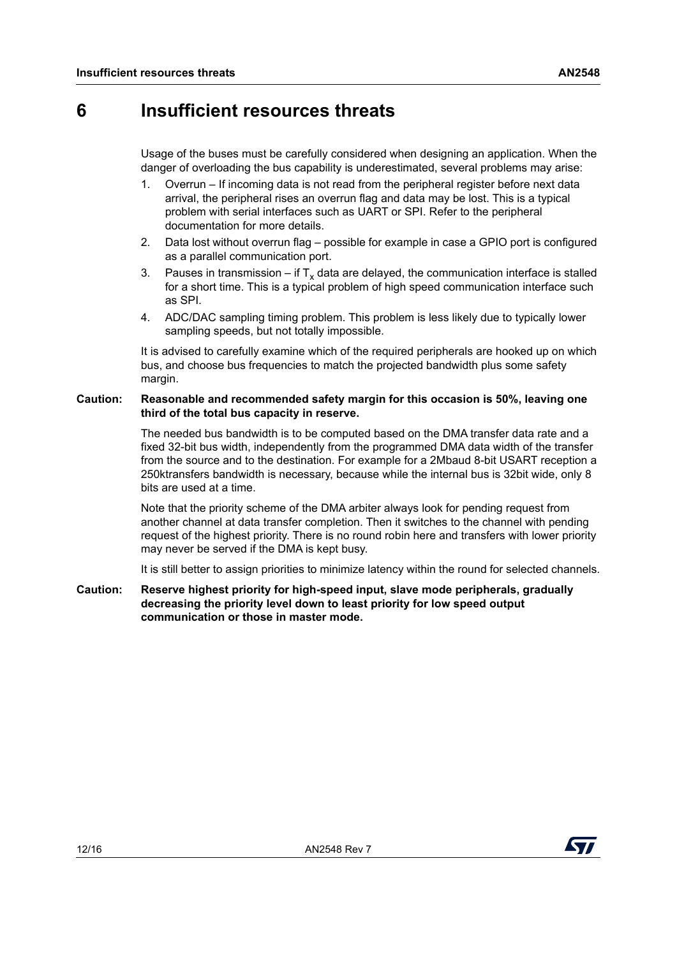### <span id="page-11-0"></span>**6 Insufficient resources threats**

Usage of the buses must be carefully considered when designing an application. When the danger of overloading the bus capability is underestimated, several problems may arise:

- 1. Overrun If incoming data is not read from the peripheral register before next data arrival, the peripheral rises an overrun flag and data may be lost. This is a typical problem with serial interfaces such as UART or SPI. Refer to the peripheral documentation for more details.
- 2. Data lost without overrun flag possible for example in case a GPIO port is configured as a parallel communication port.
- 3. Pauses in transmission if  $T_x$  data are delayed, the communication interface is stalled for a short time. This is a typical problem of high speed communication interface such as SPI.
- 4. ADC/DAC sampling timing problem. This problem is less likely due to typically lower sampling speeds, but not totally impossible.

It is advised to carefully examine which of the required peripherals are hooked up on which bus, and choose bus frequencies to match the projected bandwidth plus some safety margin.

#### **Caution: Reasonable and recommended safety margin for this occasion is 50%, leaving one third of the total bus capacity in reserve.**

The needed bus bandwidth is to be computed based on the DMA transfer data rate and a fixed 32-bit bus width, independently from the programmed DMA data width of the transfer from the source and to the destination. For example for a 2Mbaud 8-bit USART reception a 250ktransfers bandwidth is necessary, because while the internal bus is 32bit wide, only 8 bits are used at a time.

Note that the priority scheme of the DMA arbiter always look for pending request from another channel at data transfer completion. Then it switches to the channel with pending request of the highest priority. There is no round robin here and transfers with lower priority may never be served if the DMA is kept busy.

It is still better to assign priorities to minimize latency within the round for selected channels.

**Caution: Reserve highest priority for high-speed input, slave mode peripherals, gradually decreasing the priority level down to least priority for low speed output communication or those in master mode.**

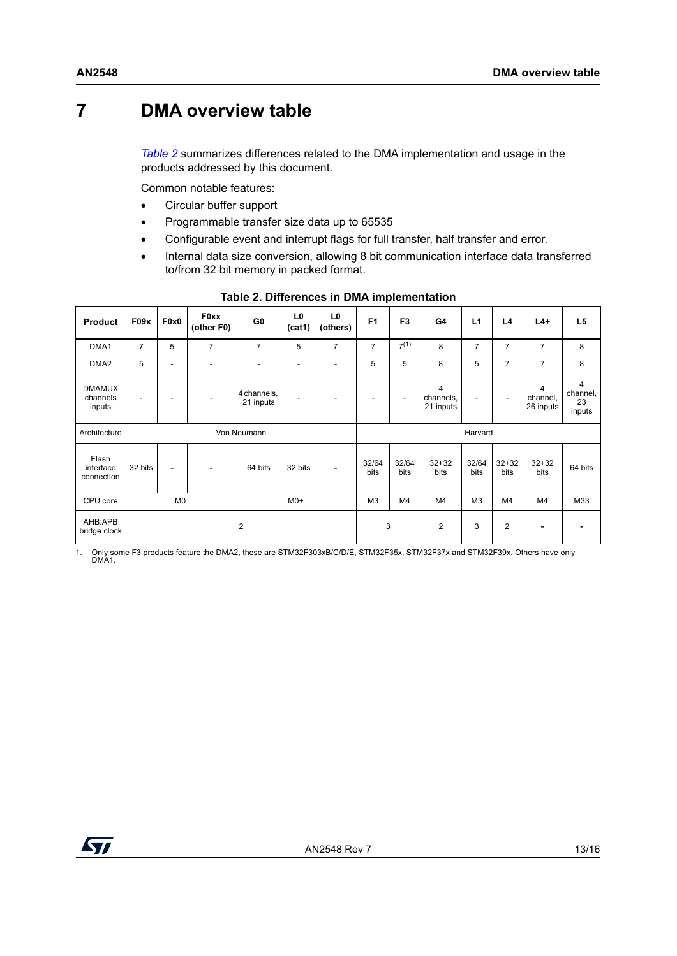### <span id="page-12-0"></span>**7 DMA overview table**

*[Table](#page-12-1) 2* summarizes differences related to the DMA implementation and usage in the products addressed by this document.

Common notable features:

- Circular buffer support
- Programmable transfer size data up to 65535
- Configurable event and interrupt flags for full transfer, half transfer and error.
- Internal data size conversion, allowing 8 bit communication interface data transferred to/from 32 bit memory in packed format.

<span id="page-12-1"></span>

| <b>Product</b>                      | F09x           | F <sub>0</sub> x <sub>0</sub> | <b>F0xx</b><br>(other F0) | G <sub>0</sub>           | L <sub>0</sub><br>(cat1) | L <sub>0</sub><br>(others) | F <sub>1</sub> | F <sub>3</sub> | G4                          | L1             | L4                       | $L4+$                      | L <sub>5</sub>                |
|-------------------------------------|----------------|-------------------------------|---------------------------|--------------------------|--------------------------|----------------------------|----------------|----------------|-----------------------------|----------------|--------------------------|----------------------------|-------------------------------|
| DMA1                                | $\overline{7}$ | 5                             | $\overline{7}$            | $\overline{7}$           | 5                        | $\overline{7}$             | $\overline{7}$ | $7^{(1)}$      | 8                           | $\overline{7}$ | 7                        | 7                          | 8                             |
| DMA <sub>2</sub>                    | 5              | ۰                             | ۰                         | ٠                        | ۰                        |                            | 5              | 5              | 8                           | 5              | 7                        | $\overline{7}$             | 8                             |
| <b>DMAMUX</b><br>channels<br>inputs | ٠              | ۰                             | $\overline{\phantom{a}}$  | 4 channels,<br>21 inputs | ۰                        |                            | ٠              | ٠.             | 4<br>channels.<br>21 inputs | ٠              | $\overline{\phantom{a}}$ | 4<br>channel,<br>26 inputs | 4<br>channel,<br>23<br>inputs |
| Architecture                        | Von Neumann    |                               |                           |                          |                          | Harvard                    |                |                |                             |                |                          |                            |                               |
| Flash<br>interface<br>connection    | 32 bits        | Ξ.                            | $\overline{\phantom{a}}$  | 64 bits                  | 32 bits                  |                            | 32/64          | 32/64          | $32 + 32$                   | 32/64          | $32 + 32$                | $32 + 32$                  | 64 bits                       |
|                                     |                |                               |                           |                          |                          |                            | bits           | bits           | bits                        | bits           | bits                     | bits                       |                               |
| CPU core                            |                | M <sub>0</sub>                |                           |                          | $M0+$                    |                            | M3             | M4             | M4                          | M <sub>3</sub> | M <sub>4</sub>           | M4                         | M33                           |

#### **Table 2. Differences in DMA implementation**

1. Only some F3 products feature the DMA2, these are STM32F303xB/C/D/E, STM32F35x, STM32F37x and STM32F39x. Others have only DMA1.

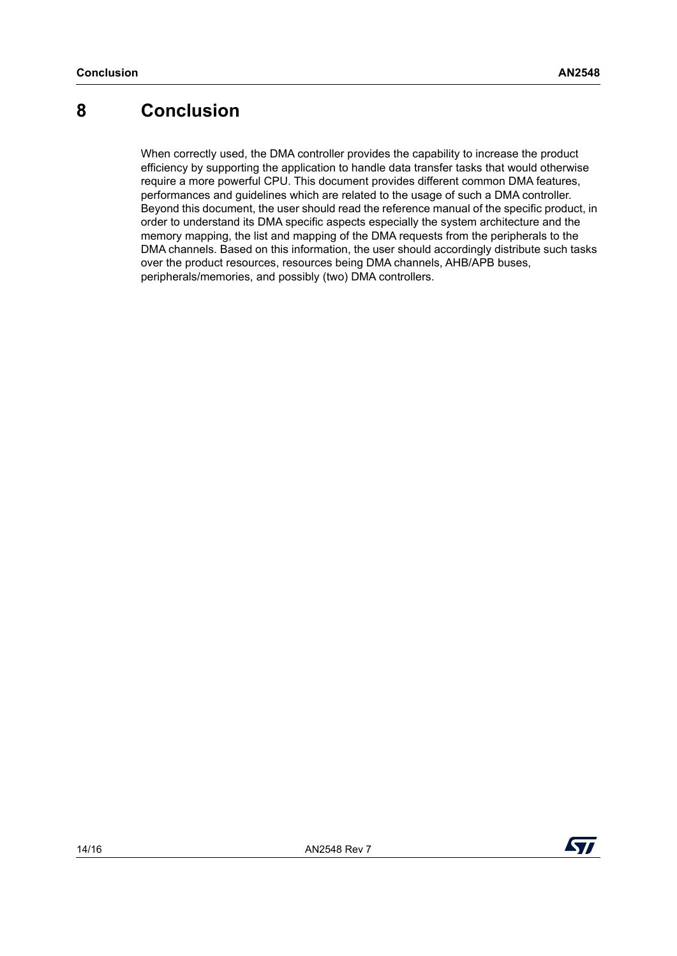## <span id="page-13-0"></span>**8 Conclusion**

When correctly used, the DMA controller provides the capability to increase the product efficiency by supporting the application to handle data transfer tasks that would otherwise require a more powerful CPU. This document provides different common DMA features, performances and guidelines which are related to the usage of such a DMA controller. Beyond this document, the user should read the reference manual of the specific product, in order to understand its DMA specific aspects especially the system architecture and the memory mapping, the list and mapping of the DMA requests from the peripherals to the DMA channels. Based on this information, the user should accordingly distribute such tasks over the product resources, resources being DMA channels, AHB/APB buses, peripherals/memories, and possibly (two) DMA controllers.

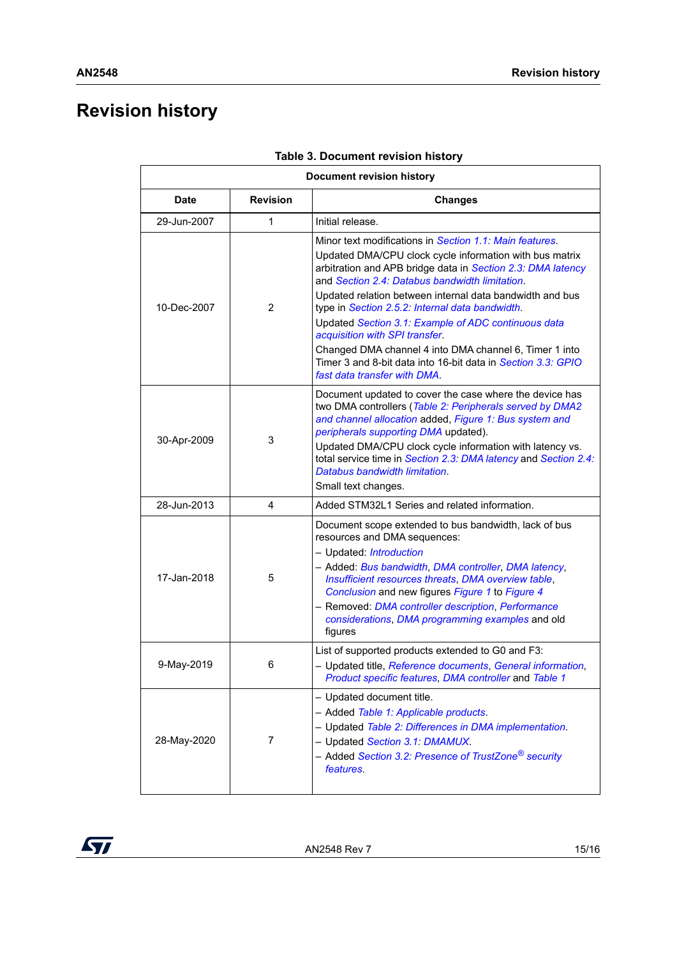# <span id="page-14-0"></span>**Revision history**

<span id="page-14-1"></span>

| <b>Document revision history</b> |                 |                                                                                                                                                                                                                                                                                                                                                                                                                                                                                                                                                                                                       |  |  |  |
|----------------------------------|-----------------|-------------------------------------------------------------------------------------------------------------------------------------------------------------------------------------------------------------------------------------------------------------------------------------------------------------------------------------------------------------------------------------------------------------------------------------------------------------------------------------------------------------------------------------------------------------------------------------------------------|--|--|--|
| <b>Date</b>                      | <b>Revision</b> | <b>Changes</b>                                                                                                                                                                                                                                                                                                                                                                                                                                                                                                                                                                                        |  |  |  |
| 29-Jun-2007                      | 1               | Initial release.                                                                                                                                                                                                                                                                                                                                                                                                                                                                                                                                                                                      |  |  |  |
| 10-Dec-2007                      | 2               | Minor text modifications in Section 1.1: Main features.<br>Updated DMA/CPU clock cycle information with bus matrix<br>arbitration and APB bridge data in Section 2.3: DMA latency<br>and Section 2.4: Databus bandwidth limitation.<br>Updated relation between internal data bandwidth and bus<br>type in Section 2.5.2: Internal data bandwidth.<br>Updated Section 3.1: Example of ADC continuous data<br>acquisition with SPI transfer.<br>Changed DMA channel 4 into DMA channel 6, Timer 1 into<br>Timer 3 and 8-bit data into 16-bit data in Section 3.3: GPIO<br>fast data transfer with DMA. |  |  |  |
| 30-Apr-2009                      | 3               | Document updated to cover the case where the device has<br>two DMA controllers (Table 2: Peripherals served by DMA2<br>and channel allocation added, Figure 1: Bus system and<br>peripherals supporting DMA updated).<br>Updated DMA/CPU clock cycle information with latency vs.<br>total service time in Section 2.3: DMA latency and Section 2.4:<br>Databus bandwidth limitation.<br>Small text changes.                                                                                                                                                                                          |  |  |  |
| 28-Jun-2013                      | 4               | Added STM32L1 Series and related information.                                                                                                                                                                                                                                                                                                                                                                                                                                                                                                                                                         |  |  |  |
| 17-Jan-2018<br>5                 |                 | Document scope extended to bus bandwidth, lack of bus<br>resources and DMA sequences:<br>- Updated: <i>Introduction</i><br>- Added: Bus bandwidth, DMA controller, DMA latency,<br>Insufficient resources threats, DMA overview table,<br>Conclusion and new figures Figure 1 to Figure 4<br>- Removed: DMA controller description, Performance<br>considerations, DMA programming examples and old<br>figures                                                                                                                                                                                        |  |  |  |
| 9-May-2019<br>6                  |                 | List of supported products extended to G0 and F3:<br>- Updated title, Reference documents, General information,<br>Product specific features, DMA controller and Table 1                                                                                                                                                                                                                                                                                                                                                                                                                              |  |  |  |
| 28-May-2020                      | 7               | - Updated document title.<br>- Added Table 1: Applicable products.<br>- Updated Table 2: Differences in DMA implementation.<br>- Updated Section 3.1: DMAMUX.<br>- Added Section 3.2: Presence of TrustZone <sup>®</sup> security<br><i>features</i> .                                                                                                                                                                                                                                                                                                                                                |  |  |  |

|  | Table 3. Document revision history |  |  |
|--|------------------------------------|--|--|
|--|------------------------------------|--|--|